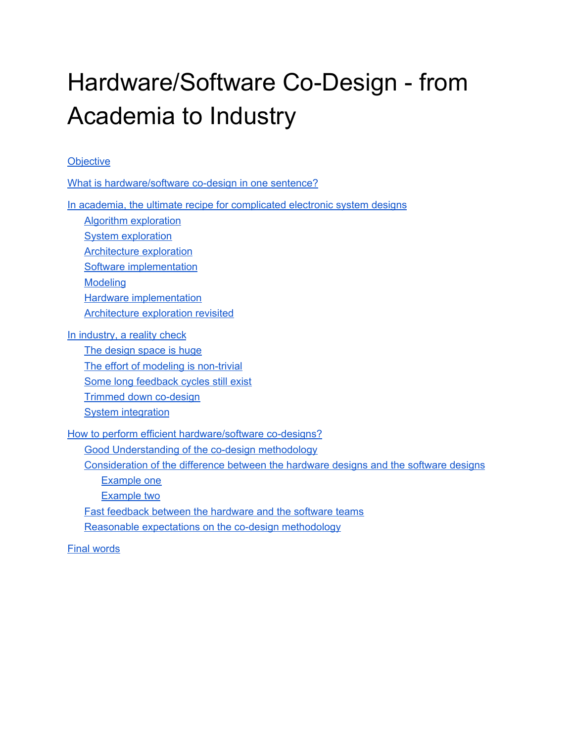# Hardware/Software Co-Design - from Academia to Industry

#### **[Objective](#page-1-0)**

What is [hardware/software](#page-1-1) co-design in one sentence?

In academia, the ultimate recipe for [complicated](#page-2-0) electronic system designs

Algorithm [exploration](#page-3-0)

**System [exploration](#page-3-1)** 

[Architecture](#page-4-0) exploration

Software [implementation](#page-4-1)

[Modeling](#page-4-2)

Hardware [implementation](#page-5-0)

[Architecture](#page-6-0) exploration revisited

In [industry,](#page-8-0) a reality check

The [design](#page-8-1) space is huge The effort of modeling is [non-trivial](#page-9-0) Some long [feedback](#page-10-0) cycles still exist Trimmed down [co-design](#page-11-0) **System [integration](#page-12-0)** 

How to perform efficient [hardware/software](#page-12-1) co-designs?

Good [Understanding](#page-12-2) of the co-design methodology

[Consideration](#page-13-0) of the difference between the hardware designs and the software designs

[Example](#page-13-1) one

[Example](#page-13-2) two

Fast feedback between the [hardware](#page-14-0) and the software teams

Reasonable expectations on the co-design [methodology](#page-14-1)

Final [words](#page-14-2)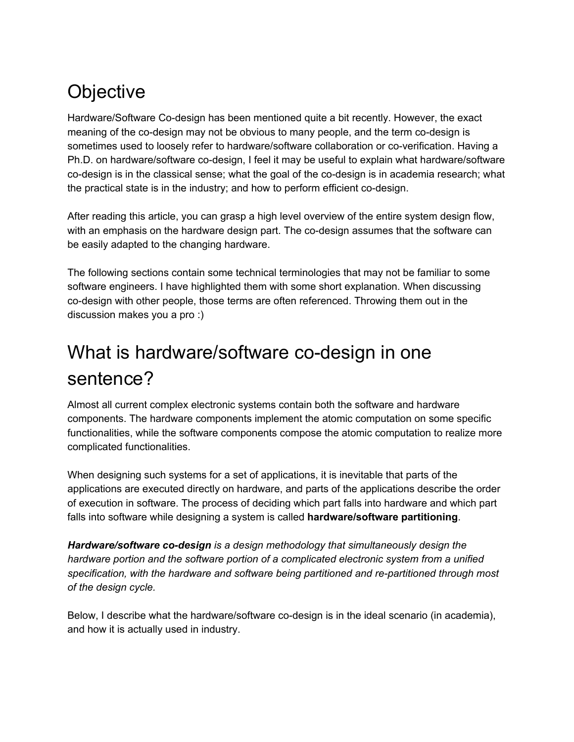# <span id="page-1-0"></span>**Objective**

Hardware/Software Co-design has been mentioned quite a bit recently. However, the exact meaning of the co-design may not be obvious to many people, and the term co-design is sometimes used to loosely refer to hardware/software collaboration or co-verification. Having a Ph.D. on hardware/software co-design, I feel it may be useful to explain what hardware/software co-design is in the classical sense; what the goal of the co-design is in academia research; what the practical state is in the industry; and how to perform efficient co-design.

After reading this article, you can grasp a high level overview of the entire system design flow, with an emphasis on the hardware design part. The co-design assumes that the software can be easily adapted to the changing hardware.

The following sections contain some technical terminologies that may not be familiar to some software engineers. I have highlighted them with some short explanation. When discussing co-design with other people, those terms are often referenced. Throwing them out in the discussion makes you a pro :)

### <span id="page-1-1"></span>What is hardware/software co-design in one sentence?

Almost all current complex electronic systems contain both the software and hardware components. The hardware components implement the atomic computation on some specific functionalities, while the software components compose the atomic computation to realize more complicated functionalities.

When designing such systems for a set of applications, it is inevitable that parts of the applications are executed directly on hardware, and parts of the applications describe the order of execution in software. The process of deciding which part falls into hardware and which part falls into software while designing a system is called **hardware/software partitioning**.

*Hardware/software co-design is a design methodology that simultaneously design the hardware portion and the software portion of a complicated electronic system from a unified specification, with the hardware and software being partitioned and re-partitioned through most of the design cycle.*

Below, I describe what the hardware/software co-design is in the ideal scenario (in academia), and how it is actually used in industry.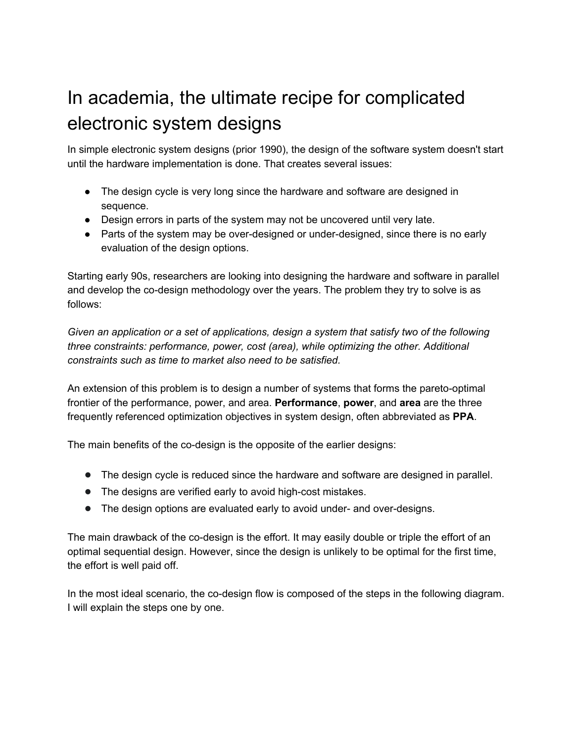# <span id="page-2-0"></span>In academia, the ultimate recipe for complicated electronic system designs

In simple electronic system designs (prior 1990), the design of the software system doesn't start until the hardware implementation is done. That creates several issues:

- The design cycle is very long since the hardware and software are designed in sequence.
- Design errors in parts of the system may not be uncovered until very late.
- Parts of the system may be over-designed or under-designed, since there is no early evaluation of the design options.

Starting early 90s, researchers are looking into designing the hardware and software in parallel and develop the co-design methodology over the years. The problem they try to solve is as follows:

*Given an application or a set of applications, design a system that satisfy two of the following three constraints: performance, power, cost (area), while optimizing the other. Additional constraints such as time to market also need to be satisfied.*

An extension of this problem is to design a number of systems that forms the pareto-optimal frontier of the performance, power, and area. **Performance**, **power**, and **area** are the three frequently referenced optimization objectives in system design, often abbreviated as **PPA**.

The main benefits of the co-design is the opposite of the earlier designs:

- The design cycle is reduced since the hardware and software are designed in parallel.
- The designs are verified early to avoid high-cost mistakes.
- The design options are evaluated early to avoid under- and over-designs.

The main drawback of the co-design is the effort. It may easily double or triple the effort of an optimal sequential design. However, since the design is unlikely to be optimal for the first time, the effort is well paid off.

In the most ideal scenario, the co-design flow is composed of the steps in the following diagram. I will explain the steps one by one.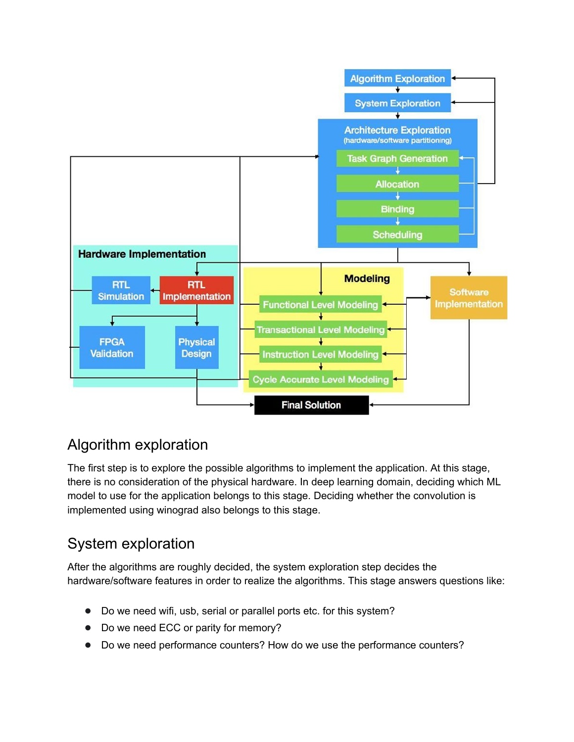

#### <span id="page-3-0"></span>Algorithm exploration

The first step is to explore the possible algorithms to implement the application. At this stage, there is no consideration of the physical hardware. In deep learning domain, deciding which ML model to use for the application belongs to this stage. Deciding whether the convolution is implemented using winograd also belongs to this stage.

### <span id="page-3-1"></span>System exploration

After the algorithms are roughly decided, the system exploration step decides the hardware/software features in order to realize the algorithms. This stage answers questions like:

- Do we need wifi, usb, serial or parallel ports etc. for this system?
- Do we need ECC or parity for memory?
- Do we need performance counters? How do we use the performance counters?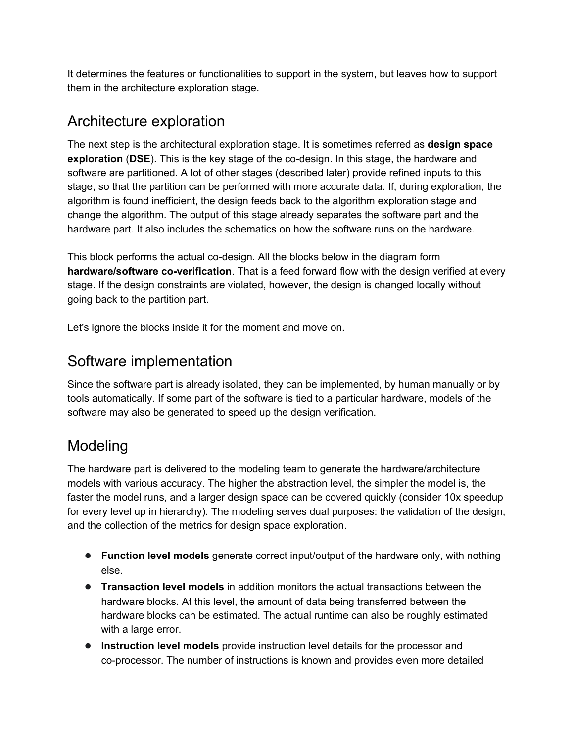It determines the features or functionalities to support in the system, but leaves how to support them in the architecture exploration stage.

#### <span id="page-4-0"></span>Architecture exploration

The next step is the architectural exploration stage. It is sometimes referred as **design space exploration** (**DSE**). This is the key stage of the co-design. In this stage, the hardware and software are partitioned. A lot of other stages (described later) provide refined inputs to this stage, so that the partition can be performed with more accurate data. If, during exploration, the algorithm is found inefficient, the design feeds back to the algorithm exploration stage and change the algorithm. The output of this stage already separates the software part and the hardware part. It also includes the schematics on how the software runs on the hardware.

This block performs the actual co-design. All the blocks below in the diagram form **hardware/software co-verification**. That is a feed forward flow with the design verified at every stage. If the design constraints are violated, however, the design is changed locally without going back to the partition part.

<span id="page-4-1"></span>Let's ignore the blocks inside it for the moment and move on.

#### Software implementation

Since the software part is already isolated, they can be implemented, by human manually or by tools automatically. If some part of the software is tied to a particular hardware, models of the software may also be generated to speed up the design verification.

### <span id="page-4-2"></span>Modeling

The hardware part is delivered to the modeling team to generate the hardware/architecture models with various accuracy. The higher the abstraction level, the simpler the model is, the faster the model runs, and a larger design space can be covered quickly (consider 10x speedup for every level up in hierarchy). The modeling serves dual purposes: the validation of the design, and the collection of the metrics for design space exploration.

- **Function level models** generate correct input/output of the hardware only, with nothing else.
- **Transaction level models** in addition monitors the actual transactions between the hardware blocks. At this level, the amount of data being transferred between the hardware blocks can be estimated. The actual runtime can also be roughly estimated with a large error.
- **Instruction level models** provide instruction level details for the processor and co-processor. The number of instructions is known and provides even more detailed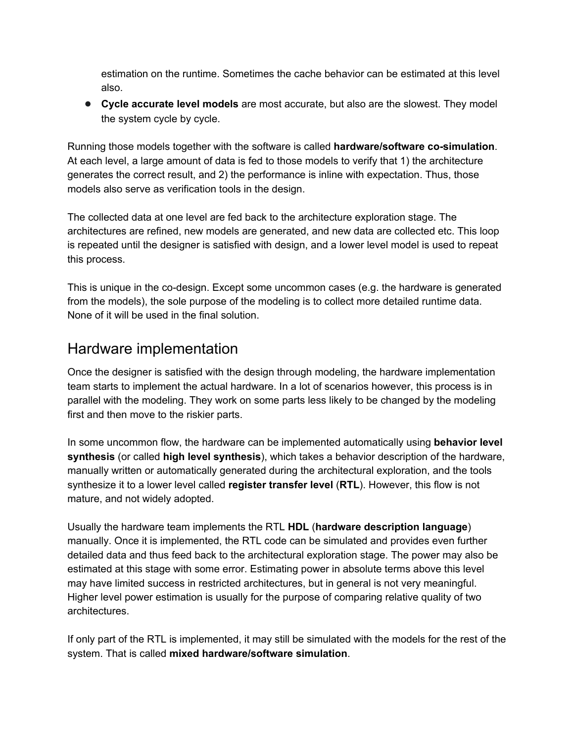estimation on the runtime. Sometimes the cache behavior can be estimated at this level also.

● **Cycle accurate level models** are most accurate, but also are the slowest. They model the system cycle by cycle.

Running those models together with the software is called **hardware/software co-simulation**. At each level, a large amount of data is fed to those models to verify that 1) the architecture generates the correct result, and 2) the performance is inline with expectation. Thus, those models also serve as verification tools in the design.

The collected data at one level are fed back to the architecture exploration stage. The architectures are refined, new models are generated, and new data are collected etc. This loop is repeated until the designer is satisfied with design, and a lower level model is used to repeat this process.

This is unique in the co-design. Except some uncommon cases (e.g. the hardware is generated from the models), the sole purpose of the modeling is to collect more detailed runtime data. None of it will be used in the final solution.

#### <span id="page-5-0"></span>Hardware implementation

Once the designer is satisfied with the design through modeling, the hardware implementation team starts to implement the actual hardware. In a lot of scenarios however, this process is in parallel with the modeling. They work on some parts less likely to be changed by the modeling first and then move to the riskier parts.

In some uncommon flow, the hardware can be implemented automatically using **behavior level synthesis** (or called **high level synthesis**), which takes a behavior description of the hardware, manually written or automatically generated during the architectural exploration, and the tools synthesize it to a lower level called **register transfer level** (**RTL**). However, this flow is not mature, and not widely adopted.

Usually the hardware team implements the RTL **HDL** (**hardware description language**) manually. Once it is implemented, the RTL code can be simulated and provides even further detailed data and thus feed back to the architectural exploration stage. The power may also be estimated at this stage with some error. Estimating power in absolute terms above this level may have limited success in restricted architectures, but in general is not very meaningful. Higher level power estimation is usually for the purpose of comparing relative quality of two architectures.

If only part of the RTL is implemented, it may still be simulated with the models for the rest of the system. That is called **mixed hardware/software simulation**.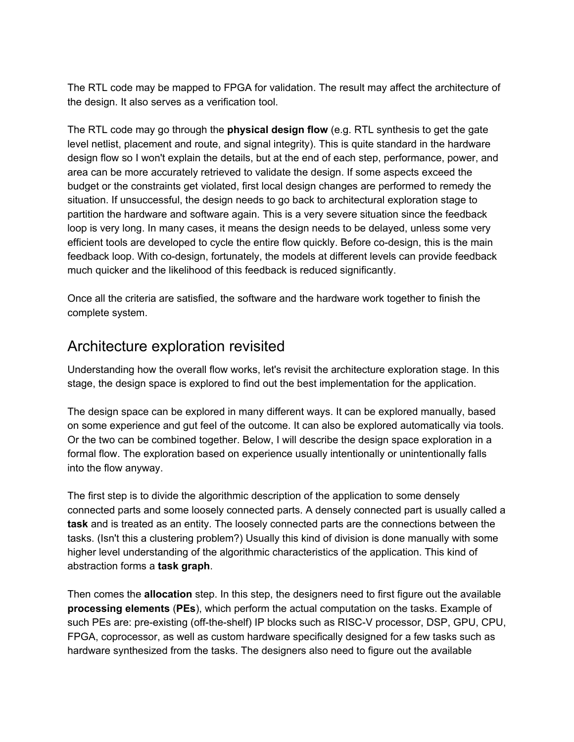The RTL code may be mapped to FPGA for validation. The result may affect the architecture of the design. It also serves as a verification tool.

The RTL code may go through the **physical design flow** (e.g. RTL synthesis to get the gate level netlist, placement and route, and signal integrity). This is quite standard in the hardware design flow so I won't explain the details, but at the end of each step, performance, power, and area can be more accurately retrieved to validate the design. If some aspects exceed the budget or the constraints get violated, first local design changes are performed to remedy the situation. If unsuccessful, the design needs to go back to architectural exploration stage to partition the hardware and software again. This is a very severe situation since the feedback loop is very long. In many cases, it means the design needs to be delayed, unless some very efficient tools are developed to cycle the entire flow quickly. Before co-design, this is the main feedback loop. With co-design, fortunately, the models at different levels can provide feedback much quicker and the likelihood of this feedback is reduced significantly.

Once all the criteria are satisfied, the software and the hardware work together to finish the complete system.

#### <span id="page-6-0"></span>Architecture exploration revisited

Understanding how the overall flow works, let's revisit the architecture exploration stage. In this stage, the design space is explored to find out the best implementation for the application.

The design space can be explored in many different ways. It can be explored manually, based on some experience and gut feel of the outcome. It can also be explored automatically via tools. Or the two can be combined together. Below, I will describe the design space exploration in a formal flow. The exploration based on experience usually intentionally or unintentionally falls into the flow anyway.

The first step is to divide the algorithmic description of the application to some densely connected parts and some loosely connected parts. A densely connected part is usually called a **task** and is treated as an entity. The loosely connected parts are the connections between the tasks. (Isn't this a clustering problem?) Usually this kind of division is done manually with some higher level understanding of the algorithmic characteristics of the application. This kind of abstraction forms a **task graph**.

Then comes the **allocation** step. In this step, the designers need to first figure out the available **processing elements** (**PEs**), which perform the actual computation on the tasks. Example of such PEs are: pre-existing (off-the-shelf) IP blocks such as RISC-V processor, DSP, GPU, CPU, FPGA, coprocessor, as well as custom hardware specifically designed for a few tasks such as hardware synthesized from the tasks. The designers also need to figure out the available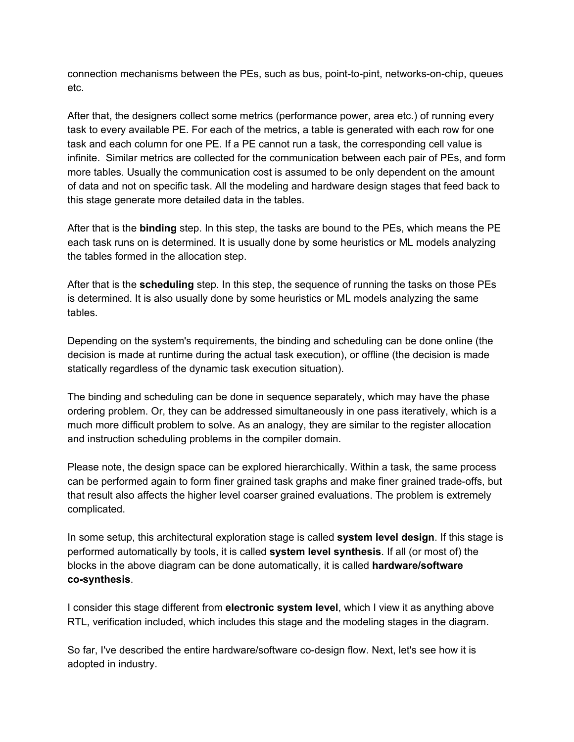connection mechanisms between the PEs, such as bus, point-to-pint, networks-on-chip, queues etc.

After that, the designers collect some metrics (performance power, area etc.) of running every task to every available PE. For each of the metrics, a table is generated with each row for one task and each column for one PE. If a PE cannot run a task, the corresponding cell value is infinite. Similar metrics are collected for the communication between each pair of PEs, and form more tables. Usually the communication cost is assumed to be only dependent on the amount of data and not on specific task. All the modeling and hardware design stages that feed back to this stage generate more detailed data in the tables.

After that is the **binding** step. In this step, the tasks are bound to the PEs, which means the PE each task runs on is determined. It is usually done by some heuristics or ML models analyzing the tables formed in the allocation step.

After that is the **scheduling** step. In this step, the sequence of running the tasks on those PEs is determined. It is also usually done by some heuristics or ML models analyzing the same tables.

Depending on the system's requirements, the binding and scheduling can be done online (the decision is made at runtime during the actual task execution), or offline (the decision is made statically regardless of the dynamic task execution situation).

The binding and scheduling can be done in sequence separately, which may have the phase ordering problem. Or, they can be addressed simultaneously in one pass iteratively, which is a much more difficult problem to solve. As an analogy, they are similar to the register allocation and instruction scheduling problems in the compiler domain.

Please note, the design space can be explored hierarchically. Within a task, the same process can be performed again to form finer grained task graphs and make finer grained trade-offs, but that result also affects the higher level coarser grained evaluations. The problem is extremely complicated.

In some setup, this architectural exploration stage is called **system level design**. If this stage is performed automatically by tools, it is called **system level synthesis**. If all (or most of) the blocks in the above diagram can be done automatically, it is called **hardware/software co-synthesis**.

I consider this stage different from **electronic system level**, which I view it as anything above RTL, verification included, which includes this stage and the modeling stages in the diagram.

So far, I've described the entire hardware/software co-design flow. Next, let's see how it is adopted in industry.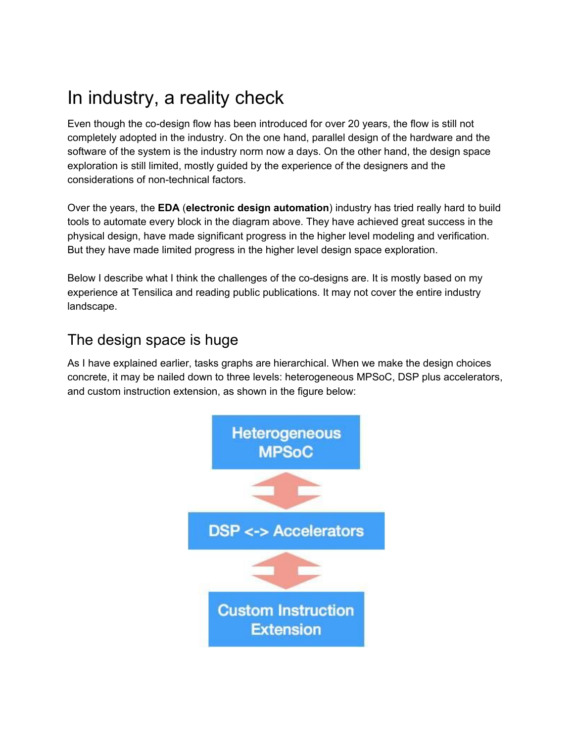### <span id="page-8-0"></span>In industry, a reality check

Even though the co-design flow has been introduced for over 20 years, the flow is still not completely adopted in the industry. On the one hand, parallel design of the hardware and the software of the system is the industry norm now a days. On the other hand, the design space exploration is still limited, mostly guided by the experience of the designers and the considerations of non-technical factors.

Over the years, the **EDA** (**electronic design automation**) industry has tried really hard to build tools to automate every block in the diagram above. They have achieved great success in the physical design, have made significant progress in the higher level modeling and verification. But they have made limited progress in the higher level design space exploration.

Below I describe what I think the challenges of the co-designs are. It is mostly based on my experience at Tensilica and reading public publications. It may not cover the entire industry landscape.

#### <span id="page-8-1"></span>The design space is huge

As I have explained earlier, tasks graphs are hierarchical. When we make the design choices concrete, it may be nailed down to three levels: heterogeneous MPSoC, DSP plus accelerators, and custom instruction extension, as shown in the figure below:

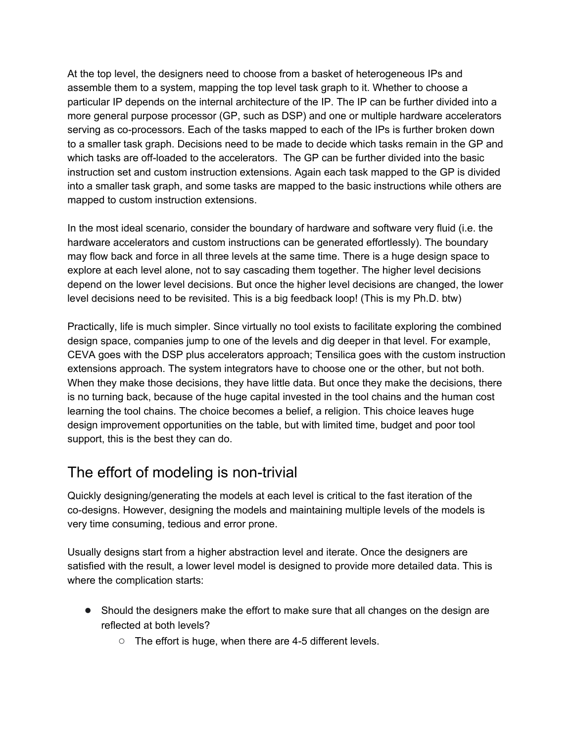At the top level, the designers need to choose from a basket of heterogeneous IPs and assemble them to a system, mapping the top level task graph to it. Whether to choose a particular IP depends on the internal architecture of the IP. The IP can be further divided into a more general purpose processor (GP, such as DSP) and one or multiple hardware accelerators serving as co-processors. Each of the tasks mapped to each of the IPs is further broken down to a smaller task graph. Decisions need to be made to decide which tasks remain in the GP and which tasks are off-loaded to the accelerators. The GP can be further divided into the basic instruction set and custom instruction extensions. Again each task mapped to the GP is divided into a smaller task graph, and some tasks are mapped to the basic instructions while others are mapped to custom instruction extensions.

In the most ideal scenario, consider the boundary of hardware and software very fluid (i.e. the hardware accelerators and custom instructions can be generated effortlessly). The boundary may flow back and force in all three levels at the same time. There is a huge design space to explore at each level alone, not to say cascading them together. The higher level decisions depend on the lower level decisions. But once the higher level decisions are changed, the lower level decisions need to be revisited. This is a big feedback loop! (This is my Ph.D. btw)

Practically, life is much simpler. Since virtually no tool exists to facilitate exploring the combined design space, companies jump to one of the levels and dig deeper in that level. For example, CEVA goes with the DSP plus accelerators approach; Tensilica goes with the custom instruction extensions approach. The system integrators have to choose one or the other, but not both. When they make those decisions, they have little data. But once they make the decisions, there is no turning back, because of the huge capital invested in the tool chains and the human cost learning the tool chains. The choice becomes a belief, a religion. This choice leaves huge design improvement opportunities on the table, but with limited time, budget and poor tool support, this is the best they can do.

#### <span id="page-9-0"></span>The effort of modeling is non-trivial

Quickly designing/generating the models at each level is critical to the fast iteration of the co-designs. However, designing the models and maintaining multiple levels of the models is very time consuming, tedious and error prone.

Usually designs start from a higher abstraction level and iterate. Once the designers are satisfied with the result, a lower level model is designed to provide more detailed data. This is where the complication starts:

- Should the designers make the effort to make sure that all changes on the design are reflected at both levels?
	- The effort is huge, when there are 4-5 different levels.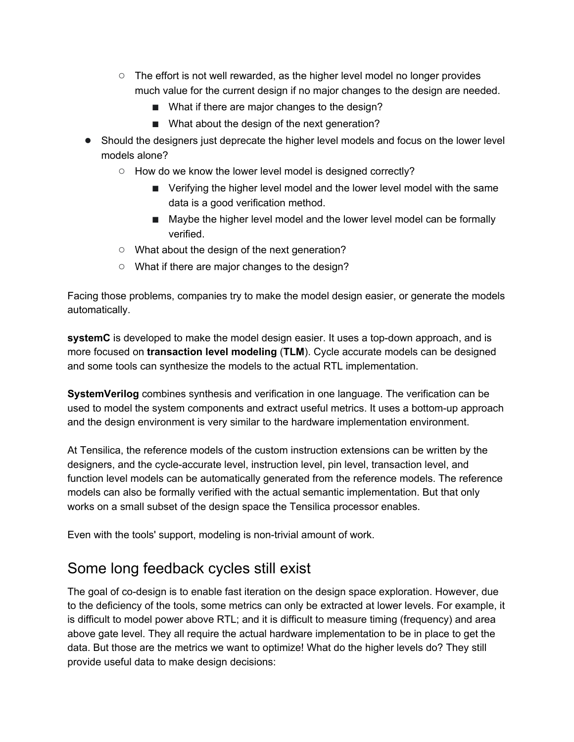- $\circ$  The effort is not well rewarded, as the higher level model no longer provides much value for the current design if no major changes to the design are needed.
	- What if there are major changes to the design?
	- What about the design of the next generation?
- Should the designers just deprecate the higher level models and focus on the lower level models alone?
	- How do we know the lower level model is designed correctly?
		- Verifying the higher level model and the lower level model with the same data is a good verification method.
		- Maybe the higher level model and the lower level model can be formally verified.
	- What about the design of the next generation?
	- What if there are major changes to the design?

Facing those problems, companies try to make the model design easier, or generate the models automatically.

**systemC** is developed to make the model design easier. It uses a top-down approach, and is more focused on **transaction level modeling** (**TLM**). Cycle accurate models can be designed and some tools can synthesize the models to the actual RTL implementation.

**SystemVerilog** combines synthesis and verification in one language. The verification can be used to model the system components and extract useful metrics. It uses a bottom-up approach and the design environment is very similar to the hardware implementation environment.

At Tensilica, the reference models of the custom instruction extensions can be written by the designers, and the cycle-accurate level, instruction level, pin level, transaction level, and function level models can be automatically generated from the reference models. The reference models can also be formally verified with the actual semantic implementation. But that only works on a small subset of the design space the Tensilica processor enables.

<span id="page-10-0"></span>Even with the tools' support, modeling is non-trivial amount of work.

#### Some long feedback cycles still exist

The goal of co-design is to enable fast iteration on the design space exploration. However, due to the deficiency of the tools, some metrics can only be extracted at lower levels. For example, it is difficult to model power above RTL; and it is difficult to measure timing (frequency) and area above gate level. They all require the actual hardware implementation to be in place to get the data. But those are the metrics we want to optimize! What do the higher levels do? They still provide useful data to make design decisions: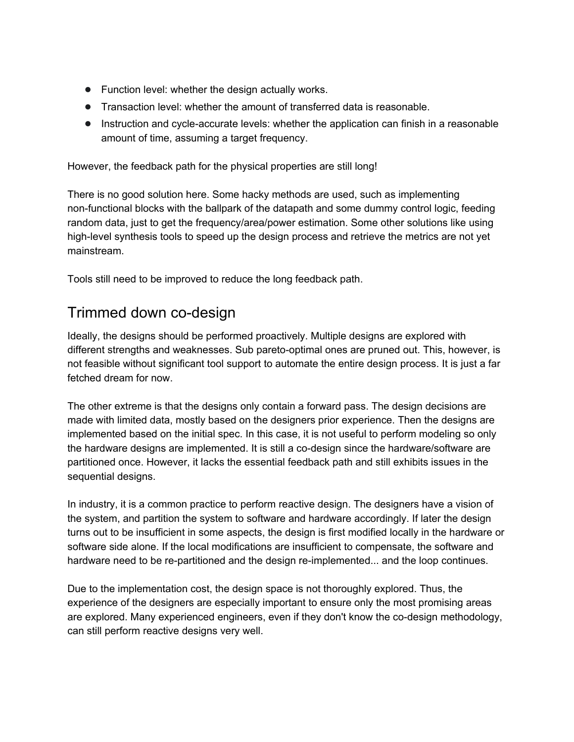- Function level: whether the design actually works.
- Transaction level: whether the amount of transferred data is reasonable.
- Instruction and cycle-accurate levels: whether the application can finish in a reasonable amount of time, assuming a target frequency.

However, the feedback path for the physical properties are still long!

There is no good solution here. Some hacky methods are used, such as implementing non-functional blocks with the ballpark of the datapath and some dummy control logic, feeding random data, just to get the frequency/area/power estimation. Some other solutions like using high-level synthesis tools to speed up the design process and retrieve the metrics are not yet mainstream.

<span id="page-11-0"></span>Tools still need to be improved to reduce the long feedback path.

#### Trimmed down co-design

Ideally, the designs should be performed proactively. Multiple designs are explored with different strengths and weaknesses. Sub pareto-optimal ones are pruned out. This, however, is not feasible without significant tool support to automate the entire design process. It is just a far fetched dream for now.

The other extreme is that the designs only contain a forward pass. The design decisions are made with limited data, mostly based on the designers prior experience. Then the designs are implemented based on the initial spec. In this case, it is not useful to perform modeling so only the hardware designs are implemented. It is still a co-design since the hardware/software are partitioned once. However, it lacks the essential feedback path and still exhibits issues in the sequential designs.

In industry, it is a common practice to perform reactive design. The designers have a vision of the system, and partition the system to software and hardware accordingly. If later the design turns out to be insufficient in some aspects, the design is first modified locally in the hardware or software side alone. If the local modifications are insufficient to compensate, the software and hardware need to be re-partitioned and the design re-implemented... and the loop continues.

Due to the implementation cost, the design space is not thoroughly explored. Thus, the experience of the designers are especially important to ensure only the most promising areas are explored. Many experienced engineers, even if they don't know the co-design methodology, can still perform reactive designs very well.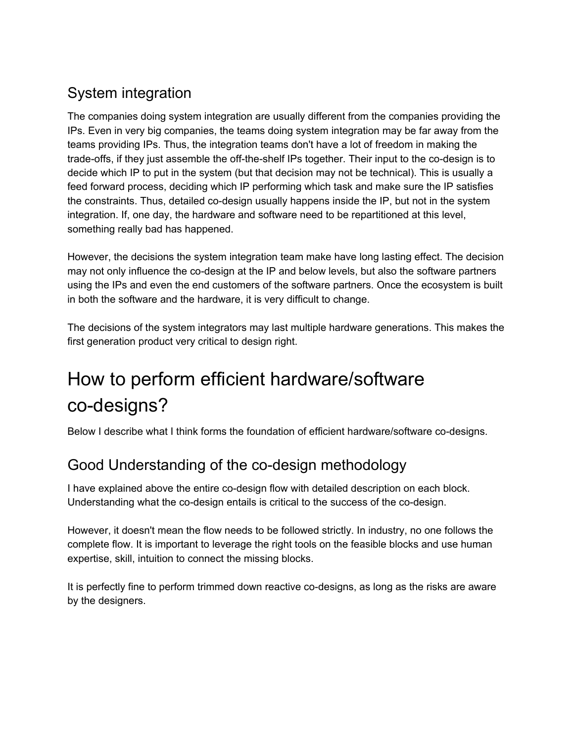### <span id="page-12-0"></span>System integration

The companies doing system integration are usually different from the companies providing the IPs. Even in very big companies, the teams doing system integration may be far away from the teams providing IPs. Thus, the integration teams don't have a lot of freedom in making the trade-offs, if they just assemble the off-the-shelf IPs together. Their input to the co-design is to decide which IP to put in the system (but that decision may not be technical). This is usually a feed forward process, deciding which IP performing which task and make sure the IP satisfies the constraints. Thus, detailed co-design usually happens inside the IP, but not in the system integration. If, one day, the hardware and software need to be repartitioned at this level, something really bad has happened.

However, the decisions the system integration team make have long lasting effect. The decision may not only influence the co-design at the IP and below levels, but also the software partners using the IPs and even the end customers of the software partners. Once the ecosystem is built in both the software and the hardware, it is very difficult to change.

The decisions of the system integrators may last multiple hardware generations. This makes the first generation product very critical to design right.

# <span id="page-12-1"></span>How to perform efficient hardware/software co-designs?

<span id="page-12-2"></span>Below I describe what I think forms the foundation of efficient hardware/software co-designs.

### Good Understanding of the co-design methodology

I have explained above the entire co-design flow with detailed description on each block. Understanding what the co-design entails is critical to the success of the co-design.

However, it doesn't mean the flow needs to be followed strictly. In industry, no one follows the complete flow. It is important to leverage the right tools on the feasible blocks and use human expertise, skill, intuition to connect the missing blocks.

It is perfectly fine to perform trimmed down reactive co-designs, as long as the risks are aware by the designers.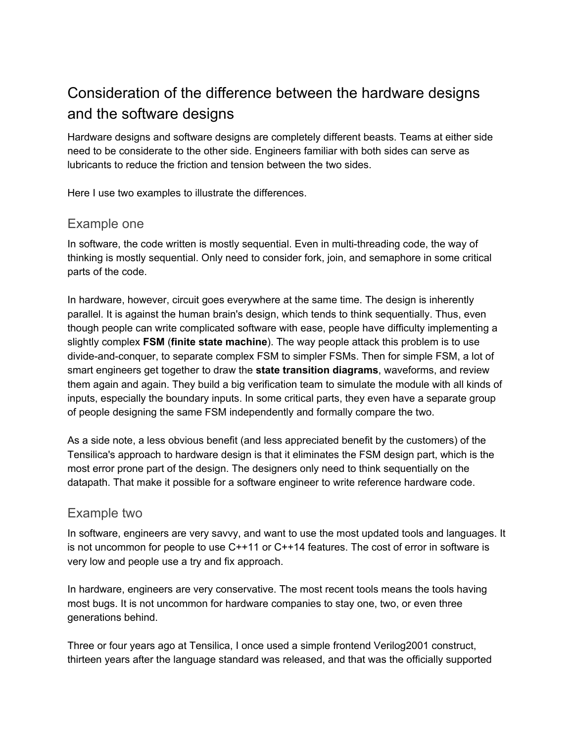### <span id="page-13-0"></span>Consideration of the difference between the hardware designs and the software designs

Hardware designs and software designs are completely different beasts. Teams at either side need to be considerate to the other side. Engineers familiar with both sides can serve as lubricants to reduce the friction and tension between the two sides.

<span id="page-13-1"></span>Here I use two examples to illustrate the differences.

#### Example one

In software, the code written is mostly sequential. Even in multi-threading code, the way of thinking is mostly sequential. Only need to consider fork, join, and semaphore in some critical parts of the code.

In hardware, however, circuit goes everywhere at the same time. The design is inherently parallel. It is against the human brain's design, which tends to think sequentially. Thus, even though people can write complicated software with ease, people have difficulty implementing a slightly complex **FSM** (**finite state machine**). The way people attack this problem is to use divide-and-conquer, to separate complex FSM to simpler FSMs. Then for simple FSM, a lot of smart engineers get together to draw the **state transition diagrams**, waveforms, and review them again and again. They build a big verification team to simulate the module with all kinds of inputs, especially the boundary inputs. In some critical parts, they even have a separate group of people designing the same FSM independently and formally compare the two.

As a side note, a less obvious benefit (and less appreciated benefit by the customers) of the Tensilica's approach to hardware design is that it eliminates the FSM design part, which is the most error prone part of the design. The designers only need to think sequentially on the datapath. That make it possible for a software engineer to write reference hardware code.

#### <span id="page-13-2"></span>Example two

In software, engineers are very savvy, and want to use the most updated tools and languages. It is not uncommon for people to use C++11 or C++14 features. The cost of error in software is very low and people use a try and fix approach.

In hardware, engineers are very conservative. The most recent tools means the tools having most bugs. It is not uncommon for hardware companies to stay one, two, or even three generations behind.

Three or four years ago at Tensilica, I once used a simple frontend Verilog2001 construct, thirteen years after the language standard was released, and that was the officially supported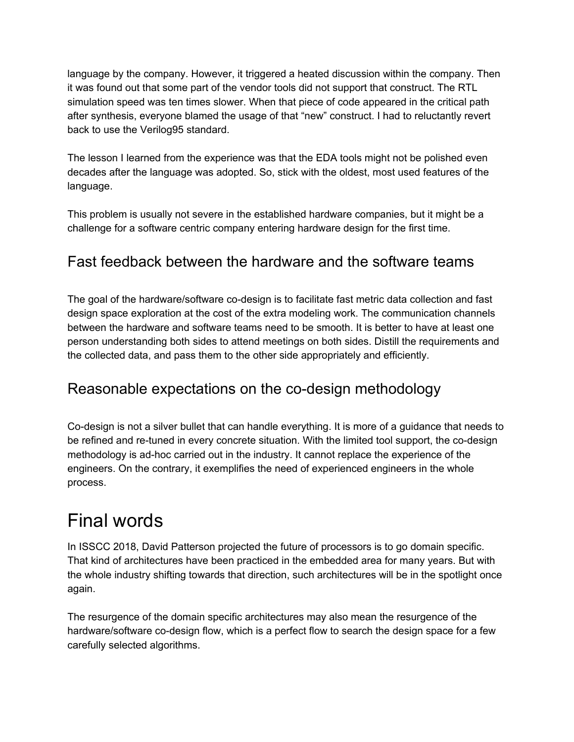language by the company. However, it triggered a heated discussion within the company. Then it was found out that some part of the vendor tools did not support that construct. The RTL simulation speed was ten times slower. When that piece of code appeared in the critical path after synthesis, everyone blamed the usage of that "new" construct. I had to reluctantly revert back to use the Verilog95 standard.

The lesson I learned from the experience was that the EDA tools might not be polished even decades after the language was adopted. So, stick with the oldest, most used features of the language.

This problem is usually not severe in the established hardware companies, but it might be a challenge for a software centric company entering hardware design for the first time.

#### <span id="page-14-0"></span>Fast feedback between the hardware and the software teams

The goal of the hardware/software co-design is to facilitate fast metric data collection and fast design space exploration at the cost of the extra modeling work. The communication channels between the hardware and software teams need to be smooth. It is better to have at least one person understanding both sides to attend meetings on both sides. Distill the requirements and the collected data, and pass them to the other side appropriately and efficiently.

#### <span id="page-14-1"></span>Reasonable expectations on the co-design methodology

Co-design is not a silver bullet that can handle everything. It is more of a guidance that needs to be refined and re-tuned in every concrete situation. With the limited tool support, the co-design methodology is ad-hoc carried out in the industry. It cannot replace the experience of the engineers. On the contrary, it exemplifies the need of experienced engineers in the whole process.

### <span id="page-14-2"></span>Final words

In ISSCC 2018, David Patterson projected the future of processors is to go domain specific. That kind of architectures have been practiced in the embedded area for many years. But with the whole industry shifting towards that direction, such architectures will be in the spotlight once again.

The resurgence of the domain specific architectures may also mean the resurgence of the hardware/software co-design flow, which is a perfect flow to search the design space for a few carefully selected algorithms.